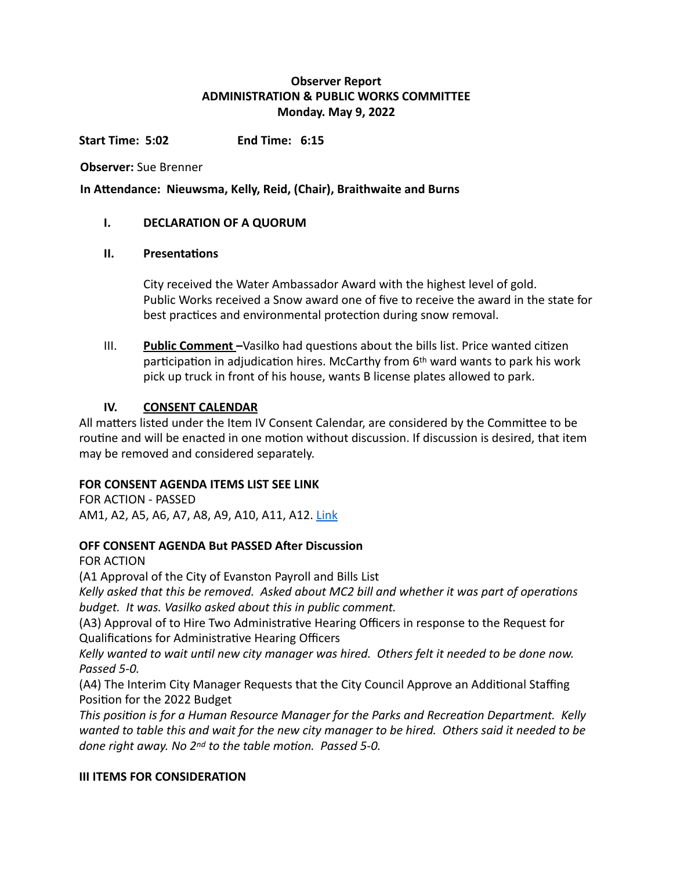# **Observer Report ADMINISTRATION & PUBLIC WORKS COMMITTEE Monday. May 9, 2022**

**Start Time: 5:02** End Time: 6:15

**Observer:** Sue Brenner

In Attendance: Nieuwsma, Kelly, Reid, (Chair), Braithwaite and Burns

## **I. DECLARATION OF A QUORUM**

#### **II. Presentations**

City received the Water Ambassador Award with the highest level of gold. Public Works received a Snow award one of five to receive the award in the state for best practices and environmental protection during snow removal.

III. **Public Comment** –Vasilko had questions about the bills list. Price wanted citizen participation in adjudication hires. McCarthy from  $6<sup>th</sup>$  ward wants to park his work pick up truck in front of his house, wants B license plates allowed to park.

## **IV. CONSENT CALENDAR**

All matters listed under the Item IV Consent Calendar, are considered by the Committee to be routine and will be enacted in one motion without discussion. If discussion is desired, that item may be removed and considered separately.

## **FOR CONSENT AGENDA ITEMS LIST SEE LINK**

FOR ACTION - PASSED AM1, A2, A5, A6, A7, A8, A9, A10, A11, A12. [Link](https://www.cityofevanston.org/home/showpublisheddocument/71499)

## **OFF CONSENT AGENDA But PASSED After Discussion**

**FOR ACTION** 

(A1 Approval of the City of Evanston Payroll and Bills List

Kelly asked that this be removed. Asked about MC2 bill and whether it was part of operations *budget.* It was. Vasilko asked about this in public comment.

(A3) Approval of to Hire Two Administrative Hearing Officers in response to the Request for Qualifications for Administrative Hearing Officers

Kelly wanted to wait until new city manager was hired. Others felt it needed to be done now. *Passed 5-0.*

(A4) The Interim City Manager Requests that the City Council Approve an Additional Staffing Position for the 2022 Budget

This position is for a Human Resource Manager for the Parks and Recreation Department. Kelly wanted to table this and wait for the new city manager to be hired. Others said it needed to be *done right away.* No 2<sup>nd</sup> to the table motion. Passed 5-0.

## **III ITEMS FOR CONSIDERATION**